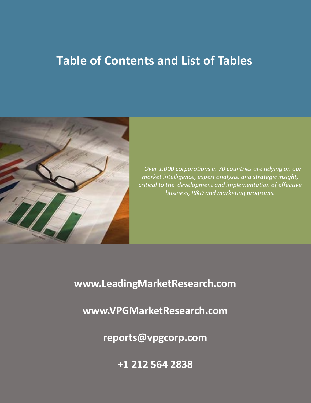# **Table of Contents and List of Tables**



*Over 1,000 corporations in 70 countries are relying on our market intelligence, expert analysis, and strategic insight, critical to the development and implementation of effective business, R&D and marketing programs.*

**www.LeadingMarketResearch.com**

**www.VPGMarketResearch.com**

**reports@vpgcorp.com** 

**+1 212 564 2838**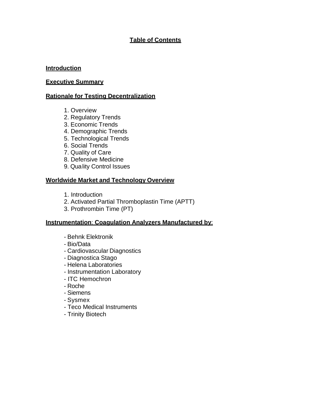# **Table of Contents**

#### **Introduction**

#### **Executive Summary**

#### **Rationale for Testing Decentralization**

- 1. Overview
- 2. Regulatory Trends
- 3. Economic Trends
- 4. Demographic Trends
- 5. Technological Trends
- 6. Social Trends
- 7. Quality of Care
- 8. Defensive Medicine
- 9. Quality Control Issues

#### **Worldwide Market and Technology Overview**

- 1. Introduction
- 2. Activated Partial Thromboplastin Time (APTT)
- 3. Prothrombin Time (PT)

#### **Instrumentation**: **Coagulation Analyzers Manufactured by**:

- Behnk Elektronik
- Bio/Data
- Cardiovascular Diagnostics
- Diagnostica Stago
- Helena Laboratories
- Instrumentation Laboratory
- ITC Hemochron
- Roche
- Siemens
- Sysmex
- Teco Medical Instruments
- Trinity Biotech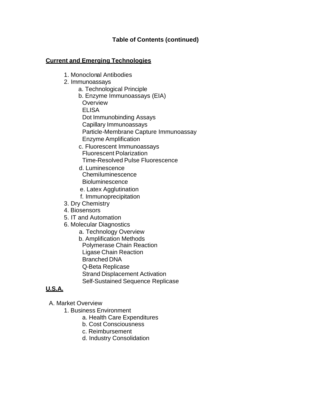#### **Current and Emerging Technologies**

- 1. Monoclonal Antibodies
- 2. Immunoassays
	- a. Technological Principle
	- b. Enzyme Immunoassays (EIA) **Overview** ELISA Dot Immunobinding Assays Capillary Immunoassays Particle-Membrane Capture Immunoassay
		- Enzyme Amplification
	- c. Fluorescent Immunoassays Fluorescent Polarization Time-Resolved Pulse Fluorescence
	- d. Luminescence Chemiluminescence **Bioluminescence**
	- e. Latex Agglutination
	- f. Immunoprecipitation
- 3. Dry Chemistry
- 4. Biosensors
- 5. IT and Automation
- 6. Molecular Diagnostics
	- a. Technology Overview
	- b. Amplification Methods Polymerase Chain Reaction Ligase Chain Reaction Branched DNA Q-Beta Replicase Strand Displacement Activation Self-Sustained Sequence Replicase

# **U.S.A.**

- A. Market Overview
	- 1. Business Environment
		- a. Health Care Expenditures
		- b. Cost Consciousness
		- c. Reimbursement
		- d. Industry Consolidation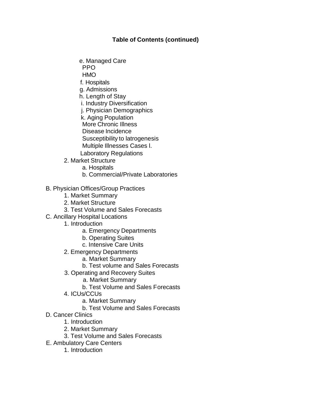e. Managed Care

PPO

HMO

f. Hospitals

g. Admissions

h. Length of Stay

- i. Industry Diversification
- j. Physician Demographics
- k. Aging Population

More Chronic Illness

Disease Incidence

Susceptibility to latrogenesis

- Multiple Illnesses Cases l.
- Laboratory Regulations
- 2. Market Structure
	- a. Hospitals
	- b. Commercial/Private Laboratories

# B. Physician Offices/Group Practices

- 1. Market Summary
- 2. Market Structure
- 3. Test Volume and Sales Forecasts
- C. Ancillary Hospital Locations
	- 1. Introduction
		- a. Emergency Departments
		- b. Operating Suites
		- c. Intensive Care Units
	- 2. Emergency Departments
		- a. Market Summary
		- b. Test volume and Sales Forecasts
	- 3. Operating and Recovery Suites
		- a. Market Summary
		- b. Test Volume and Sales Forecasts
	- 4. ICUs/CCUs
		- a. Market Summary
		- b. Test Volume and Sales Forecasts
- D. Cancer Clinics
	- 1. Introduction
	- 2. Market Summary
	- 3. Test Volume and Sales Forecasts
- E. Ambulatory Care Centers
	- 1. Introduction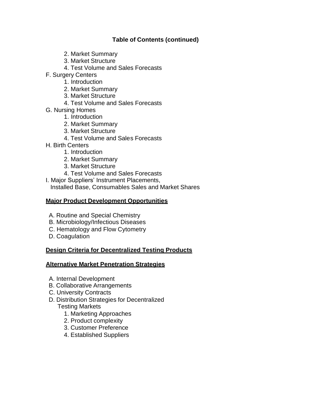- 2. Market Summary
- 3. Market Structure
- 4. Test Volume and Sales Forecasts
- F. Surgery Centers
	- 1. Introduction
	- 2. Market Summary
	- 3. Market Structure
	- 4. Test Volume and Sales Forecasts
- G. Nursing Homes
	- 1. Introduction
	- 2. Market Summary
	- 3. Market Structure
	- 4. Test Volume and Sales Forecasts
- H. Birth Centers
	- 1. Introduction
	- 2. Market Summary
	- 3. Market Structure
	- 4. Test Volume and Sales Forecasts

I. Major Suppliers' Instrument Placements, Installed Base, Consumables Sales and Market Shares

## **Major Product Development Opportunities**

- A. Routine and Special Chemistry
- B. Microbiology/Infectious Diseases
- C. Hematology and Flow Cytometry
- D. Coagulation

# **Design Criteria for Decentralized Testing Products**

# **Alternative Market Penetration Strategies**

- A. Internal Development
- B. Collaborative Arrangements
- C. University Contracts
- D. Distribution Strategies for Decentralized

# Testing Markets

- 1. Marketing Approaches
- 2. Product complexity
- 3. Customer Preference
- 4. Established Suppliers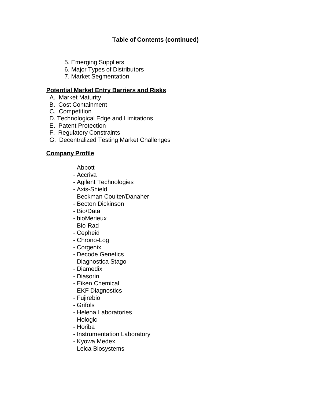- 5. Emerging Suppliers
- 6. Major Types of Distributors
- 7. Market Segmentation

## **Potential Market Entry Barriers and Risks**

- A. Market Maturity
- B. Cost Containment
- C. Competition
- D. Technological Edge and Limitations
- E. Patent Protection
- F. Regulatory Constraints
- G. Decentralized Testing Market Challenges

## **Company Profile**

- Abbott
- Accriva
- Agilent Technologies
- Axis-Shield
- Beckman Coulter/Danaher
- Becton Dickinson
- Bio/Data
- bioMerieux
- Bio-Rad
- Cepheid
- Chrono-Log
- Corgenix
- Decode Genetics
- Diagnostica Stago
- Diamedix
- Diasorin
- Eiken Chemical
- EKF Diagnostics
- Fujirebio
- Grifols
- Helena Laboratories
- Hologic
- Horiba
- Instrumentation Laboratory
- Kyowa Medex
- Leica Biosystems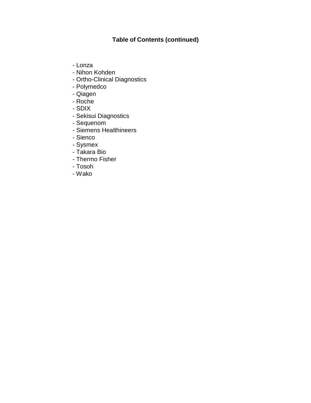- Lonza
- Nihon Kohden
- Ortho-Clinical Diagnostics
- Polymedco
- Qiagen
- Roche
- SDIX
- Sekisui Diagnostics
- Sequenom
- Siemens Healthineers
- Sienco
- Sysmex
- Takara Bio
- Thermo Fisher
- Tosoh
- Wako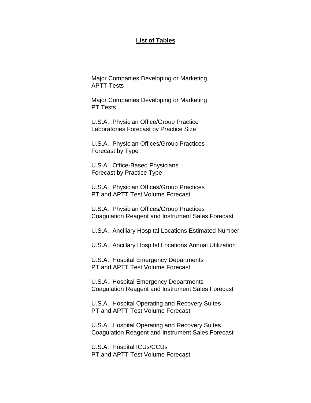#### **List of Tables**

Major Companies Developing or Marketing APTT Tests

Major Companies Developing or Marketing PT Tests

U.S.A., Physician Office/Group Practice Laboratories Forecast by Practice Size

U.S.A., Physician Offices/Group Practices Forecast by Type

U.S.A., Office-Based Physicians Forecast by Practice Type

U.S.A., Physician Offices/Group Practices PT and APTT Test Volume Forecast

U.S.A., Physician Offices/Group Practices Coagulation Reagent and Instrument Sales Forecast

U.S.A., Ancillary Hospital Locations Estimated Number

U.S.A., Ancillary Hospital Locations Annual Utilization

U.S.A., Hospital Emergency Departments PT and APTT Test Volume Forecast

U.S.A., Hospital Emergency Departments Coagulation Reagent and Instrument Sales Forecast

U.S.A., Hospital Operating and Recovery Suites PT and APTT Test Volume Forecast

U.S.A., Hospital Operating and Recovery Suites Coagulation Reagent and Instrument Sales Forecast

U.S.A., Hospital ICUs/CCUs PT and APTT Test Volume Forecast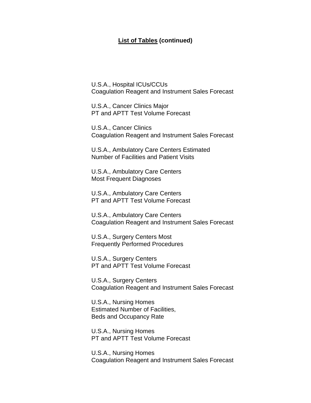#### **List of Tables (continued)**

U.S.A., Hospital ICUs/CCUs Coagulation Reagent and Instrument Sales Forecast

U.S.A., Cancer Clinics Major PT and APTT Test Volume Forecast

U.S.A., Cancer Clinics Coagulation Reagent and Instrument Sales Forecast

U.S.A., Ambulatory Care Centers Estimated Number of Facilities and Patient Visits

U.S.A., Ambulatory Care Centers Most Frequent Diagnoses

U.S.A., Ambulatory Care Centers PT and APTT Test Volume Forecast

U.S.A., Ambulatory Care Centers Coagulation Reagent and Instrument Sales Forecast

U.S.A., Surgery Centers Most Frequently Performed Procedures

U.S.A., Surgery Centers PT and APTT Test Volume Forecast

U.S.A., Surgery Centers Coagulation Reagent and Instrument Sales Forecast

U.S.A., Nursing Homes Estimated Number of Facilities, Beds and Occupancy Rate

U.S.A., Nursing Homes PT and APTT Test Volume Forecast

U.S.A., Nursing Homes Coagulation Reagent and Instrument Sales Forecast